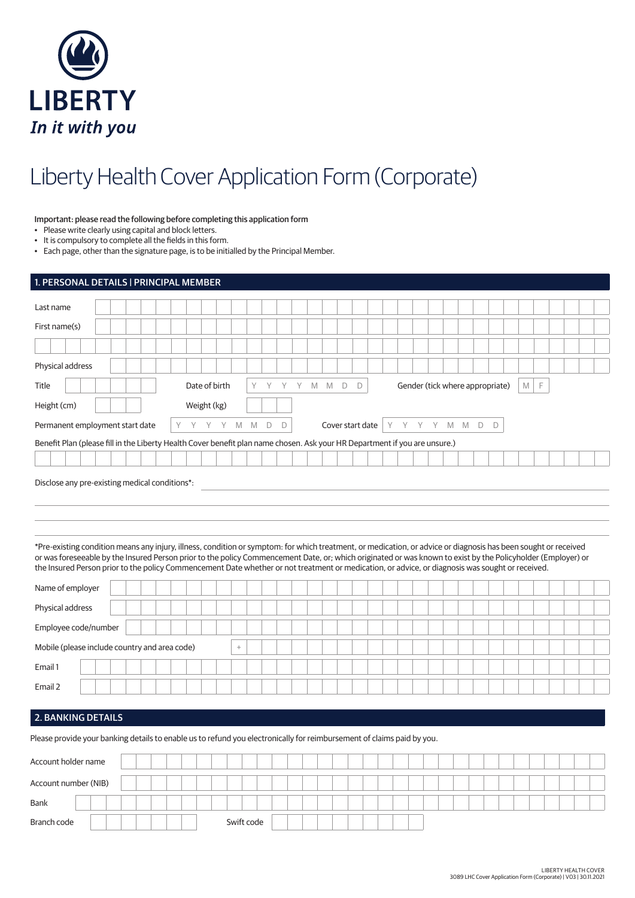

# Liberty Health Cover Application Form (Corporate)

## Important: please read the following before completing this application form

• Please write clearly using capital and block letters.

• It is compulsory to complete all the fields in this form.

• Each page, other than the signature page, is to be initialled by the Principal Member.

| 1. PERSONAL DETAILS   PRINCIPAL MEMBER                                                                                                                                                                                                                                                                                                                                                                                                                                              |                  |        |                                    |  |  |   |  |  |                                 |        |  |  |  |  |  |
|-------------------------------------------------------------------------------------------------------------------------------------------------------------------------------------------------------------------------------------------------------------------------------------------------------------------------------------------------------------------------------------------------------------------------------------------------------------------------------------|------------------|--------|------------------------------------|--|--|---|--|--|---------------------------------|--------|--|--|--|--|--|
| Last name                                                                                                                                                                                                                                                                                                                                                                                                                                                                           |                  |        |                                    |  |  |   |  |  |                                 |        |  |  |  |  |  |
| First name(s)                                                                                                                                                                                                                                                                                                                                                                                                                                                                       |                  |        |                                    |  |  |   |  |  |                                 |        |  |  |  |  |  |
|                                                                                                                                                                                                                                                                                                                                                                                                                                                                                     |                  |        |                                    |  |  |   |  |  |                                 |        |  |  |  |  |  |
| Physical address                                                                                                                                                                                                                                                                                                                                                                                                                                                                    |                  |        |                                    |  |  |   |  |  |                                 |        |  |  |  |  |  |
| Title                                                                                                                                                                                                                                                                                                                                                                                                                                                                               | Date of birth    | Y      | Y Y Y M M D                        |  |  | D |  |  | Gender (tick where appropriate) | E<br>M |  |  |  |  |  |
| Height (cm)                                                                                                                                                                                                                                                                                                                                                                                                                                                                         | Weight (kg)      |        |                                    |  |  |   |  |  |                                 |        |  |  |  |  |  |
| Permanent employment start date                                                                                                                                                                                                                                                                                                                                                                                                                                                     | Y Y Y M M D<br>Y |        | Cover start date   Y Y Y Y M M D D |  |  |   |  |  |                                 |        |  |  |  |  |  |
| Benefit Plan (please fill in the Liberty Health Cover benefit plan name chosen. Ask your HR Department if you are unsure.)                                                                                                                                                                                                                                                                                                                                                          |                  |        |                                    |  |  |   |  |  |                                 |        |  |  |  |  |  |
|                                                                                                                                                                                                                                                                                                                                                                                                                                                                                     |                  |        |                                    |  |  |   |  |  |                                 |        |  |  |  |  |  |
| *Pre-existing condition means any injury, illness, condition or symptom: for which treatment, or medication, or advice or diagnosis has been sought or received<br>or was foreseeable by the Insured Person prior to the policy Commencement Date, or; which originated or was known to exist by the Policyholder (Employer) or<br>the Insured Person prior to the policy Commencement Date whether or not treatment or medication, or advice, or diagnosis was sought or received. |                  |        |                                    |  |  |   |  |  |                                 |        |  |  |  |  |  |
| Name of employer                                                                                                                                                                                                                                                                                                                                                                                                                                                                    |                  |        |                                    |  |  |   |  |  |                                 |        |  |  |  |  |  |
| Physical address                                                                                                                                                                                                                                                                                                                                                                                                                                                                    |                  |        |                                    |  |  |   |  |  |                                 |        |  |  |  |  |  |
| Employee code/number                                                                                                                                                                                                                                                                                                                                                                                                                                                                |                  |        |                                    |  |  |   |  |  |                                 |        |  |  |  |  |  |
| Mobile (please include country and area code)                                                                                                                                                                                                                                                                                                                                                                                                                                       |                  | $\! +$ |                                    |  |  |   |  |  |                                 |        |  |  |  |  |  |
| Email 1                                                                                                                                                                                                                                                                                                                                                                                                                                                                             |                  |        |                                    |  |  |   |  |  |                                 |        |  |  |  |  |  |
| Email 2                                                                                                                                                                                                                                                                                                                                                                                                                                                                             |                  |        |                                    |  |  |   |  |  |                                 |        |  |  |  |  |  |
|                                                                                                                                                                                                                                                                                                                                                                                                                                                                                     |                  |        |                                    |  |  |   |  |  |                                 |        |  |  |  |  |  |
| <b>2. BANKING DETAILS</b>                                                                                                                                                                                                                                                                                                                                                                                                                                                           |                  |        |                                    |  |  |   |  |  |                                 |        |  |  |  |  |  |
| Please provide your banking details to enable us to refund you electronically for reimbursement of claims paid by you.                                                                                                                                                                                                                                                                                                                                                              |                  |        |                                    |  |  |   |  |  |                                 |        |  |  |  |  |  |

| Account holder name  |  |  |  |            |  |  |  |  |  |  |  |  |  |  |  |  |
|----------------------|--|--|--|------------|--|--|--|--|--|--|--|--|--|--|--|--|
| Account number (NIB) |  |  |  |            |  |  |  |  |  |  |  |  |  |  |  |  |
| <b>Bank</b>          |  |  |  |            |  |  |  |  |  |  |  |  |  |  |  |  |
| Branch code          |  |  |  | Swift code |  |  |  |  |  |  |  |  |  |  |  |  |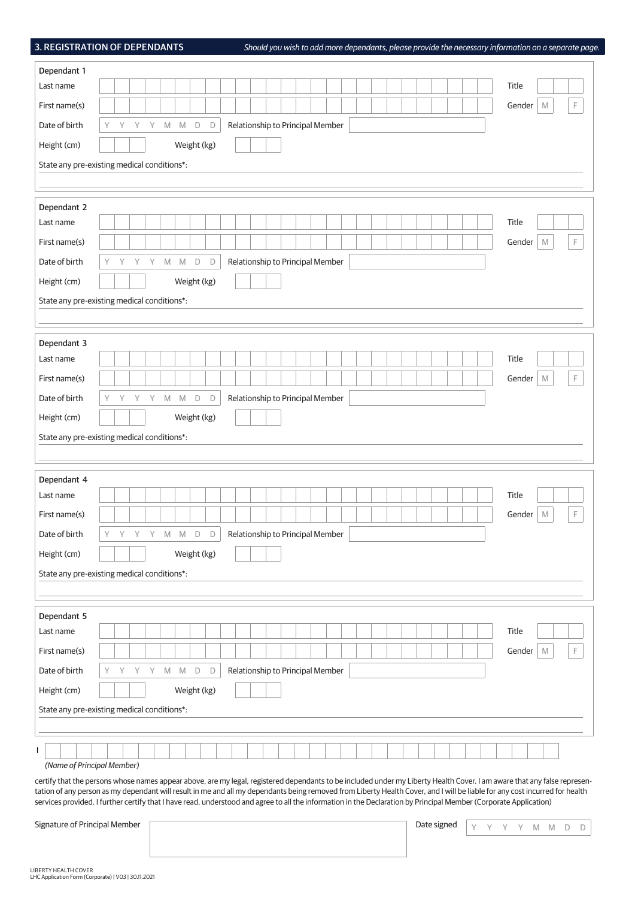3. REGISTRATION OF DEPENDANTS *Should you wish to add more dependants, please provide the necessary information on a separate page.*

| Dependant 1                                                                                                                                                                                                                                                                                                                                      |                                                            |   |   |   |         |             |             |        |  |  |  |  |                                  |  |  |  |  |  |  |             |  |   |        |             |   |    |
|--------------------------------------------------------------------------------------------------------------------------------------------------------------------------------------------------------------------------------------------------------------------------------------------------------------------------------------------------|------------------------------------------------------------|---|---|---|---------|-------------|-------------|--------|--|--|--|--|----------------------------------|--|--|--|--|--|--|-------------|--|---|--------|-------------|---|----|
| Last name                                                                                                                                                                                                                                                                                                                                        |                                                            |   |   |   |         |             |             |        |  |  |  |  |                                  |  |  |  |  |  |  |             |  |   | Title  |             |   |    |
| First name(s)                                                                                                                                                                                                                                                                                                                                    |                                                            |   |   |   |         |             |             |        |  |  |  |  |                                  |  |  |  |  |  |  |             |  |   | Gender | $\mathbb M$ |   | F. |
| Date of birth                                                                                                                                                                                                                                                                                                                                    | Y                                                          | Y | Υ | Y |         | $M$ $M$     | $\Box$      | $\Box$ |  |  |  |  | Relationship to Principal Member |  |  |  |  |  |  |             |  |   |        |             |   |    |
| Height (cm)                                                                                                                                                                                                                                                                                                                                      |                                                            |   |   |   |         |             | Weight (kg) |        |  |  |  |  |                                  |  |  |  |  |  |  |             |  |   |        |             |   |    |
| State any pre-existing medical conditions*:                                                                                                                                                                                                                                                                                                      |                                                            |   |   |   |         |             |             |        |  |  |  |  |                                  |  |  |  |  |  |  |             |  |   |        |             |   |    |
|                                                                                                                                                                                                                                                                                                                                                  |                                                            |   |   |   |         |             |             |        |  |  |  |  |                                  |  |  |  |  |  |  |             |  |   |        |             |   |    |
| Dependant 2                                                                                                                                                                                                                                                                                                                                      |                                                            |   |   |   |         |             |             |        |  |  |  |  |                                  |  |  |  |  |  |  |             |  |   |        |             |   |    |
| Last name                                                                                                                                                                                                                                                                                                                                        |                                                            |   |   |   |         |             |             |        |  |  |  |  |                                  |  |  |  |  |  |  |             |  |   | Title  |             |   |    |
| First name(s)                                                                                                                                                                                                                                                                                                                                    |                                                            |   |   |   |         |             |             |        |  |  |  |  |                                  |  |  |  |  |  |  |             |  |   | Gender | M           |   | F  |
| Date of birth                                                                                                                                                                                                                                                                                                                                    | Y                                                          | Y | Y | Y | M       | $\mathbb M$ | $\mathsf D$ | D      |  |  |  |  | Relationship to Principal Member |  |  |  |  |  |  |             |  |   |        |             |   |    |
| Height (cm)                                                                                                                                                                                                                                                                                                                                      |                                                            |   |   |   |         |             | Weight (kg) |        |  |  |  |  |                                  |  |  |  |  |  |  |             |  |   |        |             |   |    |
| State any pre-existing medical conditions*:                                                                                                                                                                                                                                                                                                      |                                                            |   |   |   |         |             |             |        |  |  |  |  |                                  |  |  |  |  |  |  |             |  |   |        |             |   |    |
|                                                                                                                                                                                                                                                                                                                                                  |                                                            |   |   |   |         |             |             |        |  |  |  |  |                                  |  |  |  |  |  |  |             |  |   |        |             |   |    |
| Dependant 3                                                                                                                                                                                                                                                                                                                                      |                                                            |   |   |   |         |             |             |        |  |  |  |  |                                  |  |  |  |  |  |  |             |  |   |        |             |   |    |
| Last name                                                                                                                                                                                                                                                                                                                                        |                                                            |   |   |   |         |             |             |        |  |  |  |  |                                  |  |  |  |  |  |  |             |  |   | Title  |             |   |    |
| First name(s)                                                                                                                                                                                                                                                                                                                                    |                                                            |   |   |   |         |             |             |        |  |  |  |  |                                  |  |  |  |  |  |  |             |  |   | Gender | M           |   | F  |
| Date of birth                                                                                                                                                                                                                                                                                                                                    | Y                                                          | Y | Y | Y | M       | M           | $\mathsf D$ | D      |  |  |  |  | Relationship to Principal Member |  |  |  |  |  |  |             |  |   |        |             |   |    |
| Height (cm)                                                                                                                                                                                                                                                                                                                                      |                                                            |   |   |   |         |             |             |        |  |  |  |  |                                  |  |  |  |  |  |  |             |  |   |        |             |   |    |
|                                                                                                                                                                                                                                                                                                                                                  | Weight (kg)<br>State any pre-existing medical conditions*: |   |   |   |         |             |             |        |  |  |  |  |                                  |  |  |  |  |  |  |             |  |   |        |             |   |    |
|                                                                                                                                                                                                                                                                                                                                                  |                                                            |   |   |   |         |             |             |        |  |  |  |  |                                  |  |  |  |  |  |  |             |  |   |        |             |   |    |
| Dependant 4                                                                                                                                                                                                                                                                                                                                      |                                                            |   |   |   |         |             |             |        |  |  |  |  |                                  |  |  |  |  |  |  |             |  |   |        |             |   |    |
| Last name                                                                                                                                                                                                                                                                                                                                        |                                                            |   |   |   |         |             |             |        |  |  |  |  |                                  |  |  |  |  |  |  |             |  |   | Title  |             |   |    |
| First name(s)                                                                                                                                                                                                                                                                                                                                    |                                                            |   |   |   |         |             |             |        |  |  |  |  |                                  |  |  |  |  |  |  |             |  |   | Gender | M           |   | F  |
| Date of birth                                                                                                                                                                                                                                                                                                                                    | Y                                                          | Y | Y | Y | M       | M           | D           | D      |  |  |  |  | Relationship to Principal Member |  |  |  |  |  |  |             |  |   |        |             |   |    |
| Height (cm)                                                                                                                                                                                                                                                                                                                                      |                                                            |   |   |   |         |             | Weight (kg) |        |  |  |  |  |                                  |  |  |  |  |  |  |             |  |   |        |             |   |    |
| State any pre-existing medical conditions*:                                                                                                                                                                                                                                                                                                      |                                                            |   |   |   |         |             |             |        |  |  |  |  |                                  |  |  |  |  |  |  |             |  |   |        |             |   |    |
|                                                                                                                                                                                                                                                                                                                                                  |                                                            |   |   |   |         |             |             |        |  |  |  |  |                                  |  |  |  |  |  |  |             |  |   |        |             |   |    |
|                                                                                                                                                                                                                                                                                                                                                  |                                                            |   |   |   |         |             |             |        |  |  |  |  |                                  |  |  |  |  |  |  |             |  |   |        |             |   |    |
| Dependant 5<br>Last name                                                                                                                                                                                                                                                                                                                         |                                                            |   |   |   |         |             |             |        |  |  |  |  |                                  |  |  |  |  |  |  |             |  |   | Title  |             |   |    |
| First name(s)                                                                                                                                                                                                                                                                                                                                    |                                                            |   |   |   |         |             |             |        |  |  |  |  |                                  |  |  |  |  |  |  |             |  |   | Gender | M           |   | F  |
| Date of birth                                                                                                                                                                                                                                                                                                                                    | Y                                                          | Υ |   |   | $M$ $M$ |             | $\mathsf D$ | D      |  |  |  |  | Relationship to Principal Member |  |  |  |  |  |  |             |  |   |        |             |   |    |
|                                                                                                                                                                                                                                                                                                                                                  |                                                            |   | Υ | Y |         |             |             |        |  |  |  |  |                                  |  |  |  |  |  |  |             |  |   |        |             |   |    |
| Height (cm)                                                                                                                                                                                                                                                                                                                                      |                                                            |   |   |   |         |             | Weight (kg) |        |  |  |  |  |                                  |  |  |  |  |  |  |             |  |   |        |             |   |    |
| State any pre-existing medical conditions*:                                                                                                                                                                                                                                                                                                      |                                                            |   |   |   |         |             |             |        |  |  |  |  |                                  |  |  |  |  |  |  |             |  |   |        |             |   |    |
|                                                                                                                                                                                                                                                                                                                                                  |                                                            |   |   |   |         |             |             |        |  |  |  |  |                                  |  |  |  |  |  |  |             |  |   |        |             |   |    |
| L<br>(Name of Principal Member)                                                                                                                                                                                                                                                                                                                  |                                                            |   |   |   |         |             |             |        |  |  |  |  |                                  |  |  |  |  |  |  |             |  |   |        |             |   |    |
| certify that the persons whose names appear above, are my legal, registered dependants to be included under my Liberty Health Cover. I am aware that any false represen-                                                                                                                                                                         |                                                            |   |   |   |         |             |             |        |  |  |  |  |                                  |  |  |  |  |  |  |             |  |   |        |             |   |    |
| tation of any person as my dependant will result in me and all my dependants being removed from Liberty Health Cover, and I will be liable for any cost incurred for health<br>services provided. I further certify that I have read, understood and agree to all the information in the Declaration by Principal Member (Corporate Application) |                                                            |   |   |   |         |             |             |        |  |  |  |  |                                  |  |  |  |  |  |  |             |  |   |        |             |   |    |
|                                                                                                                                                                                                                                                                                                                                                  |                                                            |   |   |   |         |             |             |        |  |  |  |  |                                  |  |  |  |  |  |  |             |  |   |        |             |   |    |
| Signature of Principal Member                                                                                                                                                                                                                                                                                                                    |                                                            |   |   |   |         |             |             |        |  |  |  |  |                                  |  |  |  |  |  |  | Date signed |  | Υ | Y.     | M M         | D | D  |
|                                                                                                                                                                                                                                                                                                                                                  |                                                            |   |   |   |         |             |             |        |  |  |  |  |                                  |  |  |  |  |  |  |             |  |   |        |             |   |    |